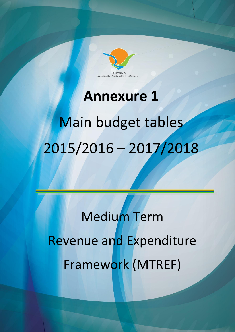

# **Annexure 1**

# Main budget tables 2015/2016 – 2017/2018

Medium Term Revenue and Expenditure Framework (MTREF)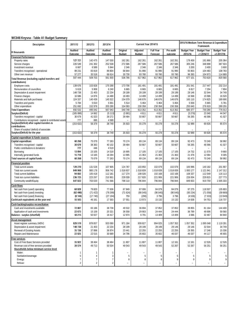# WC048 Knysna - Table A1 Budget Summary

| <b>Description</b>                                                      | 2011/12            | 2012/13            | 2013/14            |                           |                           | Current Year 2014/15         |                      | 2015/16 Medium Term Revenue & Expenditure<br>Framework |                                  |                                  |  |
|-------------------------------------------------------------------------|--------------------|--------------------|--------------------|---------------------------|---------------------------|------------------------------|----------------------|--------------------------------------------------------|----------------------------------|----------------------------------|--|
| <b>R</b> thousands                                                      | Audited<br>Outcome | Audited<br>Outcome | Audited<br>Outcome | Original<br><b>Budget</b> | Adjusted<br><b>Budget</b> | <b>Full Year</b><br>Forecast | Pre-audit<br>outcome | <b>Budget Year</b><br>2015/16                          | <b>Budget Year</b><br>+1 2016/17 | <b>Budget Year</b><br>+2 2017/18 |  |
| <b>Financial Performance</b>                                            |                    |                    |                    |                           |                           |                              |                      |                                                        |                                  |                                  |  |
| Property rates                                                          | 127 721            | 142 475            | 147 030            | 162 261                   | 162 261                   | 162 261                      | 162 261              | 178 459                                                | 191 866                          | 205 364                          |  |
| Service charges                                                         | 226 549            | 241 302            | 252 538            | 272 586                   | 267 586                   | 267 586                      | 267 586              | 305 246                                                | 348 898                          | 387 924                          |  |
| Investment revenue                                                      | 6 6 6 7            | 6589               | 5 9 4 4            | 2 3 4 6                   | 2 3 4 6                   | 2 3 4 6                      | 2 3 4 6              | 3 200                                                  | 3 4 0 0                          | 3 600                            |  |
| Transfers recognised - operational<br>Other own revenue                 | 89 231<br>57 277   | 83819<br>35 518    | 89 804<br>66 614   | 68 844<br>30 730          | 91 990<br>93 780          | 91 990<br>93 780             | 91 990<br>93 780     | 93 803<br>96 393                                       | 104 483<br>104 973               | 108 783<br>114 889               |  |
|                                                                         | 507 444            | 509 703            | 561 930            | 536 766                   | 617 962                   | 617 962                      | 617 962              | 677 101                                                | 753 620                          | 820 560                          |  |
| <b>Total Revenue (excluding capital transfers and</b><br>contributions) |                    |                    |                    |                           |                           |                              |                      |                                                        |                                  |                                  |  |
| <b>Employee costs</b>                                                   | 139 676            | 153 828            | 170 268            | 173 706                   | 181 491                   | 181 491                      | 181 491              | 201 541                                                | 217 447                          | 232 214                          |  |
| Remuneration of councillors                                             | 5619               | 5 9 0 8            | 6 2 4 0            | 6 6 6 5                   | 6 6 6 5                   | 6 6 6 5                      | 6 6 6 5              | 6817                                                   | 7 2 9 4                          | 7804                             |  |
| Depreciation & asset impairment                                         | 148 738            | 21 403             | 22 234             | 28 199                    | 28 199                    | 28 199                       | 28 199               | 29 14 6                                                | 32 544                           | 34 749                           |  |
| Finance charges                                                         | 16 686             | 14 876             | 14 4 88            | 18 493                    | 14 499                    | 14 499                       | 14 499               | 16 568                                                 | 15 5 86                          | 16 520                           |  |
| Materials and bulk purchases                                            | 124 337            | 140 439            | 145 522            | 154 079                   | 146 676                   | 146 676                      | 146 676              | 165 110                                                | 174 825                          | 189 690                          |  |
| Transfers and grants                                                    | 5 7 8 4            | 5610               | 5 0 0 1            | 5514                      | 5 4 6 4                   | 5 4 6 4                      | 5 4 6 4              | 5 5 5 6                                                | 5 6 6 5                          | 5 7 8 1                          |  |
| Other expenditure<br><b>Total Expenditure</b>                           | 251 692<br>692 532 | 152 978<br>495 042 | 203 290<br>567 043 | 154 093<br>540 748        | 230 358<br>613 352        | 230 358<br>613 352           | 230 358<br>613 352   | 255 640<br>680 377                                     | 276 919<br>730 280               | 289 255<br>776 013               |  |
| Surplus/(Deficit)                                                       | (185088)           | 14 662             | (5113)             | (3981)                    | 4611                      | 4611                         | 4611                 | (3 276)                                                | 23 340                           | 44 547                           |  |
| Transfers recognised - capital                                          | 30 679             | 41 023             | 39 27 2            | 39 484                    | 50 667                    | 50 667                       | 50 667               | 56 265                                                 | 46 586                           | 41 027                           |  |
| Contributions recognised - capital & contributed assets                 | 777                | 695                | 4 5 8 9            |                           |                           |                              |                      |                                                        | $\overline{\phantom{0}}$         |                                  |  |
| Surplus/(Deficit) after capital transfers &                             | (153632)           | 56 379             | 38 749             | 35 503                    | 55 278                    | 55 278                       | 55 278               | 52 989                                                 | 69 926                           | 85 574                           |  |
| contributions                                                           |                    |                    |                    |                           |                           |                              |                      |                                                        |                                  |                                  |  |
| Share of surplus/ (deficit) of associate                                |                    |                    |                    |                           |                           |                              |                      |                                                        |                                  |                                  |  |
| Surplus/(Deficit) for the year                                          | (153632)           | 56 379             | 38 749             | 35 503                    | 55 278                    | 55 278                       | 55 278               | 52 989                                                 | 69 926                           | 85 574                           |  |
| Capital expenditure & funds sources                                     |                    |                    |                    |                           |                           |                              |                      |                                                        |                                  |                                  |  |
| Capital expenditure                                                     | 60 268             | 75 079             | 77 263             | 70 174                    | 89 134                    | 89 134                       | 89 134               | 92 473                                                 | 70 240                           | 58 992                           |  |
| Transfers recognised - capital                                          | 30 679             | 38 36 3            | 40 132             | 39 4 84                   | 50 667                    | 50 667                       | 50 667               | 56 265                                                 | 46 586                           | 41 027                           |  |
| Public contributions & donations                                        | 777                | 446                | 4519               | ۳                         |                           | $\overline{\phantom{a}}$     |                      |                                                        | ۳                                |                                  |  |
| Borrowing                                                               | 13 094             | 23 105             | 14 3 18            | 16 695                    | 17 105                    | 17 105                       | 17 105               | 14 732                                                 | 11 570                           | 9660                             |  |
| Internally generated funds                                              | 15 718             | 13 165<br>75 079   | 18 294             | 13 995                    | 21 363                    | 21 363                       | 21 363               | 21 476                                                 | 12 084                           | 8 3 0 5<br>58 992                |  |
| <b>Total sources of capital funds</b>                                   | 60 268             |                    | 77 263             | 70 174                    | 89 134                    | 89 134                       | 89 134               | 92 473                                                 | 70 240                           |                                  |  |
| inancial position                                                       |                    |                    |                    |                           |                           |                              |                      |                                                        |                                  |                                  |  |
| Total current assets                                                    | 129 270            | 131 528            | 107 905            | 124 787                   | 103 850                   | 102 079                      | 102 079              | 100 996                                                | 140 182                          | 201 907                          |  |
| Total non current assets                                                | 849 969<br>94 692  | 900 178            | 956 742            | 1018637                   | 1018839                   | 1018839                      | 1018839              | 1083177                                                | 1 121 941<br>112 549             | 1 147 312                        |  |
| <b>Total current liabilities</b><br>Total non current liabilities       | 236 725            | 105 418<br>223 267 | 112 181<br>210 901 | 117 274<br>228 039        | 108 026<br>217820         | 102 168<br>221 906           | 102 168<br>221 906   | 108 337<br>226 004                                     | 229 815                          | 116 113<br>227 773               |  |
| Community wealth/Equity                                                 | 647 822            | 703 020            | 741 566            | 798 110                   | 796 844                   | 796 844                      | 796 844              | 849 833                                                | 919 759                          | 1 005 333                        |  |
|                                                                         |                    |                    |                    |                           |                           |                              |                      |                                                        |                                  |                                  |  |
| ash flows:                                                              | 68 828             | 79 820             | 77 636             | 67849                     | 87 006                    | 84 079                       | 84 079               | 97 275                                                 | 118 507                          | 135 803                          |  |
| Net cash from (used) operating<br>Net cash from (used) investing        | (62 490)           | (71 422)           | (79 299)           | (71624)                   | (90045)                   | (90045)                      | (90045)              | (93 234)                                               | (71058)                          | (59869)                          |  |
| Net cash from (used) financing                                          | (8144)             | (17740)            | (27194)            | 759                       | (290)                     | 3796                         | 3796                 | (4536)                                                 | (7333)                           | (13949)                          |  |
| Cash/cash equivalents at the year end                                   | 55 503             | 46 161             | 17 303             | 27 551                    | 13 973                    | 15 132                       | 15 132               | 14 638                                                 | 54 753                           | 116 737                          |  |
|                                                                         |                    |                    |                    |                           |                           |                              |                      |                                                        |                                  |                                  |  |
| Cash backing/surplus reconciliation<br>Cash and investments available   | 72887              | 65 186             | 38 738             | 49 532                    | 36 694                    | 37852                        | 37852                | 39 855                                                 | 81 164                           | 144 400                          |  |
| Application of cash and investments                                     | 22 673             | 15 15 9            | 20 321             | 36 558                    | 29 903                    | 24 444                       | 24 444               | 36 789                                                 | 48 696                           | 59 560                           |  |
| Balance - surplus (shortfall)                                           | 50 215             | 50 027             | 18 417             | 12 974                    | 6791                      | 13 409                       | 13 409               | 3 0 6 6                                                | 32 467                           | 84 840                           |  |
|                                                                         |                    |                    |                    |                           |                           |                              |                      |                                                        |                                  |                                  |  |
| Asset management<br>Asset register summary (WDV)                        | 829 519            | 878 857            | 933 090            | 971 184                   | 939 827                   | 994 025                      | 1 057 352            | 1057352                                                | 1095048                          | 1 1 1 9 2 9 1                    |  |
| Depreciation & asset impairment                                         | 148 738            | 21 403             | 22 234             | 28 199                    | 28 199                    | 28 199                       | 29 14 6              | 29 14 6                                                | 32 544                           | 34 749                           |  |
| Renewal of Existing Assets                                              | 35 138             | 37 898             | 36 974             | 23 441                    | 22 25 5                   | 22 25 5                      | 22 255               | 29 35 5                                                | 17 24 6                          | 15 3 36                          |  |
| Repairs and Maintenance                                                 | 22 025             | 22 515             | 30 689             | 34 796                    | 35 602                    | 35 602                       | 46 037               | 46 037                                                 | 44 117                           | 46 655                           |  |
| ree services                                                            |                    |                    |                    |                           |                           |                              |                      |                                                        |                                  |                                  |  |
| Cost of Free Basic Services provided                                    | 35 922             | 38 464             | 38 4 64            | 11 807                    | 11807                     | 11 807                       | 12 16 1              | 12 161                                                 | 12 5 26                          | 12526                            |  |
| Revenue cost of free services provided                                  | 39 574             | 49 713             | 50 534             | 49 543                    | 49 543                    | 49 543                       | 52 267               | 52 267                                                 | 56 251                           | 56 251                           |  |
| Households below minimum service level                                  |                    |                    |                    |                           |                           |                              |                      |                                                        |                                  |                                  |  |
| Water:                                                                  | 1                  | 1                  | 1                  | $\overline{\phantom{0}}$  | ÷                         | $\overline{a}$               |                      | $\overline{\phantom{a}}$                               | $\overline{\phantom{0}}$         | $\overline{\phantom{a}}$         |  |
| Sanitation/sewerage:                                                    | 5                  | $\overline{4}$     | 3                  | 5                         | 5                         | 5                            | 5                    | 5                                                      | 5                                | 5                                |  |
| Energy:                                                                 | $\overline{7}$     | $\overline{1}$     | $\overline{7}$     | 8                         | 8                         | 8                            | 9                    | 9                                                      | 9                                | 9                                |  |
| Refuse:                                                                 | $\overline{c}$     | $\overline{2}$     | $\overline{2}$     | $\equiv$                  | ÷,                        | $\overline{a}$               |                      | $\equiv$                                               | $\overline{a}$                   |                                  |  |
|                                                                         |                    |                    |                    |                           |                           |                              |                      |                                                        |                                  |                                  |  |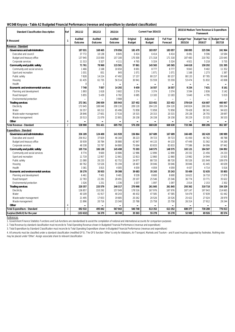#### **WC048 Knysna - Table A2 Budgeted Financial Performance (revenue and expenditure by standard classification)**

| <b>Standard Classification Description</b> | Ref            | 2011/12                   | 2012/13                          | 2013/14                   |                           | Current Year 2014/15      |                                     | 2015/16 Medium Term Revenue & Expenditure<br><b>Framework</b> |          |                                          |  |
|--------------------------------------------|----------------|---------------------------|----------------------------------|---------------------------|---------------------------|---------------------------|-------------------------------------|---------------------------------------------------------------|----------|------------------------------------------|--|
| <b>R</b> thousand                          | $\mathbf{1}$   | <b>Audited</b><br>Outcome | <b>Audited</b><br><b>Outcome</b> | <b>Audited</b><br>Outcome | Original<br><b>Budget</b> | Adjusted<br><b>Budget</b> | <b>Full Year</b><br><b>Forecast</b> | <b>Budget Year</b><br>2015/16                                 | 2016/17  | Budget Year +1 Budget Year +2<br>2017/18 |  |
| Revenue - Standard                         |                |                           |                                  |                           |                           |                           |                                     |                                                               |          |                                          |  |
| Governance and administration              |                | 187 031                   | 168 465                          | 170 056                   | 181 479                   | 183 057                   | 183 057                             | 200 895                                                       | 225 596  | 241 964                                  |  |
| Executive and council                      |                | 37 772                    | 10 138                           | 8845                      | 6 4 1 4                   | 6414                      | 6414                                | 8 4 9 1                                                       | 9596     | 10 5 84                                  |  |
| Budget and treasury office                 |                | 137 945                   | 153 000                          | 157 100                   | 170 300                   | 171 318                   | 171 318                             | 187 483                                                       | 210 782  | 225 645                                  |  |
| Corporate services                         |                | 11 313                    | 5 3 2 7                          | 4 1 1 1                   | 4765                      | 5 3 2 4                   | 5 3 2 4                             | 4921                                                          | 5 2 1 8  | 5735                                     |  |
| <b>Community and public safety</b>         |                | 71 761                    | 78 960                           | 115 501                   | 57861                     | 145 565                   | 145 565                             | 144 618                                                       | 150 292  | 151 395                                  |  |
| Community and social services              |                | 1466                      | 2 1 6 8                          | 10 650                    | 8691                      | 8777                      | 8777                                | 9843                                                          | 9 4 0 2  | 11 352                                   |  |
| Sport and recreation                       |                | 1031                      | 831                              | 845                       | 1071                      | 1071                      | 1071                                | 1168                                                          | 1 2 7 3  | 1 3 8 7                                  |  |
| Public safety                              |                | 7828                      | 14 2 24                          | 47 492                    | 17 157                    | 80 157                    | 80 157                              | 80 133                                                        | 87785    | 95 648                                   |  |
| Housing                                    |                | 61 435                    | 61 735                           | 56 514                    | 30 941                    | 55 559                    | 55 559                              | 53 474                                                        | 51832    | 43 008                                   |  |
| Health                                     |                | $\Omega$                  | $\overline{1}$                   |                           | Ē,                        |                           |                                     |                                                               |          | $\overline{\phantom{0}}$                 |  |
| <b>Economic and environmental services</b> |                | 7748                      | 7057                             | 14 29 2                   | 9 4 5 9                   | 16 557                    | 16 557                              | 9 2 3 4                                                       | 7631     | 8 1 6 1                                  |  |
| Planning and development                   |                | 1893                      | 1618                             | 3602                      | 3 3 7 4                   | 3 3 7 4                   | 3 3 7 4                             | 3594                                                          | 2836     | 3 1 4 2                                  |  |
| Road transport                             |                | 5855                      | 5 4 3 9                          | 6782                      | 6 0 8 5                   | 13 183                    | 13 183                              | 5640                                                          | 4795     | 5019                                     |  |
| <b>Environmental protection</b>            |                |                           |                                  | 3 9 0 8                   |                           | L.                        |                                     |                                                               |          |                                          |  |
| <b>Trading services</b>                    |                | 272 361                   | 296 939                          | 305 943                   | 327 452                   | 323 452                   | 323 452                             | 378 619                                                       | 416 687  | 460 067                                  |  |
| Electricity                                |                | 172 645                   | 188 048                          | 200 130                   | 209 120                   | 204 120                   | 204 120                             | 240 824                                                       | 268 266  | 300 204                                  |  |
| Water                                      |                | 50 357                    | 60 212                           | 65 4 9 6                  | 72858                     | 72858                     | 72858                               | 78 4 28                                                       | 88 341   | 94 633                                   |  |
| Waste water management                     |                | 28 8 4 6                  | 27 601                           | 17516                     | 19 315                    | 20 315                    | 20 315                              | 29 138                                                        | 26 755   | 28 697                                   |  |
| Waste management                           |                | 20513                     | 21 0 79                          | 22 801                    | 26 158                    | 26 158                    | 26 158                              | 30 229                                                        | 33 3 25  | 36 533                                   |  |
| <b>Other</b>                               | $\overline{4}$ |                           | ÷                                | $\overline{\phantom{0}}$  |                           |                           |                                     |                                                               |          |                                          |  |
| <b>Total Revenue - Standard</b>            | $\overline{2}$ | 538 900                   | 551 421                          | 605 792                   | 576 250                   | 668 630                   | 668 630                             | 733 366                                                       | 800 206  | 861587                                   |  |
| <b>Expenditure - Standard</b>              |                |                           |                                  |                           |                           |                           |                                     |                                                               |          |                                          |  |
| Governance and administration              |                | 336 189                   | 124 400                          | 141 920                   | 156 864                   | 167 689                   | 167 689                             | 166 485                                                       | 182 420  | 190 989                                  |  |
| Executive and council                      |                | 256 912                   | 37829                            | 46 160                    | 38 223                    | 39 7 23                   | 39 7 23                             | 41 450                                                        | 46762    | 48 788                                   |  |
| Budget and treasury office                 |                | 30 939                    | 30 784                           | 30 880                    | 42 947                    | 44 133                    | 44 133                              | 47 449                                                        | 51 562   | 54 260                                   |  |
|                                            |                | 48 338                    | 55 787                           |                           | 75 694                    | 83 833                    | 83 833                              | 77586                                                         | 84 0 96  | 87 942                                   |  |
| Corporate services                         |                | 105 716                   | 106 130                          | 64 880<br>145 498         | 73 203                    | 148 575                   | 148 575                             | 165 121                                                       | 184 507  | 194 892                                  |  |
| <b>Community and public safety</b>         |                | 8774                      | 9600                             | 10886                     | 12 986                    | 12 890                    | 12 890                              | 20 3 32                                                       | 21 4 5 6 | 24 233                                   |  |
| Community and social services              |                | 11 7 19                   | 12 9 57                          |                           | 12813                     |                           |                                     |                                                               | 14 944   | 15 9 25                                  |  |
| Sport and recreation                       |                | 21 080                    | 26 233                           | 12 6 61                   | 24 877                    | 12 860<br>88 7 20         | 12 860                              | 13 982<br>95 5 26                                             | 101 949  | 109 079                                  |  |
| Public safety                              |                |                           |                                  | 62752                     |                           |                           | 88 7 20                             |                                                               |          |                                          |  |
| Housing                                    |                | 60762                     | 53 526                           | 55 194                    | 18 4 67                   | 30 046                    | 30 046                              | 30 846                                                        | 41 4 45  | 40 639                                   |  |
| Health                                     |                | 3 3 8 1<br>30 270         | 3815<br>30 933                   | 4 0 0 5<br>39 308         | 4 0 5 9                   | 4 0 5 9<br>35 243         | 4 0 5 9                             | 4 4 3 7<br>55 409                                             | 4714     | 5016<br>55 803                           |  |
| <b>Economic and environmental services</b> |                |                           |                                  | 9 4 8 1                   | 39 683                    |                           | 35 243                              |                                                               | 52 635   | 17879                                    |  |
| Planning and development                   |                | 6 4 6 1                   | 7401                             |                           | 9539                      | 8 6 0 0                   | 8 6 0 0                             | 16 622                                                        | 16710    |                                          |  |
| Road transport                             |                | 22 783                    | 22 281                           | 28 4 9 1                  | 29 107                    | 25 546                    | 25 546                              | 36 7 74                                                       | 33 7 7 1 | 35 622                                   |  |
| Environmental protection                   |                | 1026                      | 1251                             | 1 3 3 6                   | 1037                      | 1097                      | 1097                                | 2014                                                          | 2 1 5 3  | 2 3 0 2                                  |  |
| <b>Trading services</b>                    |                | 220 357                   | 233 579                          | 240 317                   | 270 998                   | 261845                    | 261845                              | 293 362                                                       | 310 718  | 334 329                                  |  |
| Electricity                                |                | 136 857                   | 153 292                          | 157 049                   | 178516                    | 167 976                   | 167 976                             | 187 147                                                       | 197 943  | 214 665                                  |  |
| Water                                      |                | 40 109                    | 41 917                           | 40 24 3                   | 46 432                    | 47 585                    | 47 585                              | 54 479                                                        | 57839    | 61 442                                   |  |
| Waste water management                     |                | 21 4 9 5                  | 17653                            | 19 685                    | 20 26 2                   | 20 5 26                   | 20 5 26                             | 25 4 22                                                       | 27 0 24  | 28 979                                   |  |
| Waste management                           |                | 21896                     | 20716                            | 23 340                    | 25 788                    | 25 7 58                   | 25 7 58                             | 26 3 14                                                       | 27 912   | 29 244                                   |  |
| <b>Other</b>                               | $\overline{4}$ |                           | $\blacksquare$                   |                           |                           |                           |                                     |                                                               |          |                                          |  |
| <b>Total Expenditure - Standard</b>        | 3              | 692 532                   | 495 042                          | 567043                    | 540 748                   | 613 352                   | 613 352                             | 680 377                                                       | 730 280  | 776013                                   |  |
| Surplus/(Deficit) for the year             |                | (153632)                  | 56 379                           | 38 749                    | 35 503                    | 55 278                    | 55 278                              | 52 989                                                        | 69 926   | 85 574                                   |  |

*References*

*1. Government Finance Statistics Functions and Sub-functions are standardised to assist the compilation of national and international accounts for comparison purposes*

*2. Total Revenue by standard classification must reconcile to Total Operating Revenue shown in Budgeted Financial Performance (revenue and expenditure)*

*3. Total Expenditure by Standard Classification must reconcile to Total Operating Expenditure shown in Budgeted Financial Performance (revenue and expenditure)*

4. All amounts must be classified under a standard classification (modified GFS). The GFS function 'Other' is only for Abbatoirs, Air Transport, Markets and Tourism - and if used must be supported by footnotes. Nothing els *may be placed under 'Other'. Assign associate share to relevant classification*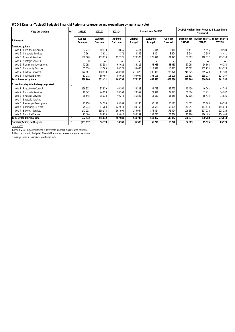# **WC048 Knysna - Table A3 Budgeted Financial Performance (revenue and expenditure by municipal vote)**

| <b>Vote Description</b>                       | Ref            | 2011/12                          | 2012/13                          | 2013/14                          | Current Year 2014/15      |                                  |                                     | 2015/16 Medium Term Revenue & Expenditure<br><b>Framework</b> |         |                                          |  |
|-----------------------------------------------|----------------|----------------------------------|----------------------------------|----------------------------------|---------------------------|----------------------------------|-------------------------------------|---------------------------------------------------------------|---------|------------------------------------------|--|
| <b>R</b> thousand                             |                | <b>Audited</b><br><b>Outcome</b> | <b>Audited</b><br><b>Outcome</b> | <b>Audited</b><br><b>Outcome</b> | Original<br><b>Budget</b> | <b>Adjusted</b><br><b>Budget</b> | <b>Full Year</b><br><b>Forecast</b> | <b>Budget Year</b><br>2015/16                                 | 2016/17 | Budget Year +1 Budget Year +2<br>2017/18 |  |
| <b>Revenue by Vote</b>                        |                |                                  |                                  |                                  |                           |                                  |                                     |                                                               |         |                                          |  |
| Vote 1 - Executive & Council                  |                | 37772                            | 10 138                           | 8845                             | 6414                      | 6414                             | 6414                                | 8491                                                          | 9596    | 10584                                    |  |
| Vote 2 - Corporate Services                   |                | 2668                             | 3631                             | 3 1 7 2                          | 3 3 4 5                   | 3804                             | 3804                                | 3644                                                          | 3986    | 4411                                     |  |
| Vote 3 - Financial Services                   |                | 138 068                          | 153 079                          | 157 171                          | 170 373                   | 171 391                          | 171 391                             | 187 563                                                       | 210 872 | 225 758                                  |  |
| Vote 4 - Strategic Services                   |                | U                                | $\overline{\phantom{0}}$         | $\overline{\phantom{0}}$         | $\overline{\phantom{0}}$  |                                  |                                     |                                                               |         |                                          |  |
| Vote 5 - Planning & Development               |                | 71 0 95                          | 63 353                           | 64 0 22                          | 34 315                    | 58 933                           | 58 933                              | 57 068                                                        | 54 668  | 46 150                                   |  |
| Vote 6 - Community Services                   |                | 35 538                           | 43 585                           | 86 275                           | 55 685                    | 118872                           | 118872                              | 125 682                                                       | 135 924 | 149 329                                  |  |
| Vote 7 - Electrical Services                  |                | 172687                           | 188 138                          | 200 293                          | 211020                    | 206 020                          | 206 020                             | 241 325                                                       | 269 243 | 301 188                                  |  |
| Vote 8 - Technical Services                   |                | 81072                            | 89 497                           | 86013                            | 95 097                    | 103 195                          | 103 195                             | 109 593                                                       | 115 917 | 124 167                                  |  |
| <b>Total Revenue by Vote</b>                  | 2              | 538 900                          | 551 421                          | 605 792                          | 576 250                   | 668 630                          | 668 630                             | 733 366                                                       | 800 206 | 861587                                   |  |
| <b>Expenditure by Vote to be appropriated</b> |                |                                  |                                  |                                  |                           |                                  |                                     |                                                               |         |                                          |  |
| Vote 1 - Executive & Council                  |                | 256 912                          | 37829                            | 46 160                           | 38 2 23                   | 39 7 23                          | 39723                               | 41 450                                                        | 46762   | 48788                                    |  |
| Vote 2 - Corporate Services                   |                | 18 642                           | 24 093                           | 28 163                           | 28 5 57                   | 29 0 71                          | 29 0 71                             | 30 004                                                        | 33 231  | 34 202                                   |  |
| Vote 3 - Financial Services                   |                | 36 648                           | 38 138                           | 40 279                           | 55 847                    | 56 659                           | 56 659                              | 62 706                                                        | 68 414  | 71825                                    |  |
| Vote 4 - Strategic Services                   |                |                                  |                                  |                                  | $\overline{\phantom{0}}$  |                                  |                                     |                                                               |         |                                          |  |
| Vote 5 - Planning & Development               |                | 71758                            | 64 596                           | 69 989                           | 36 136                    | 50 111                           | 50 111                              | 54 802                                                        | 65869   | 66 559                                   |  |
| Vote 6 - Community Services                   |                | 75 233                           | 81 283                           | 122 618                          | 89762                     | 153 629                          | 153 629                             | 171 041                                                       | 181673  | 195 013                                  |  |
| Vote 7 - Electrical Services                  |                | 141 933                          | 159 178                          | 163 994                          | 185 964                   | 175 424                          | 175 424                             | 196 588                                                       | 207 922 | 225 224                                  |  |
| Vote 8 - Technical Services                   |                | 91 40 6                          | 89 9 25                          | 95 840                           | 106 259                   | 108 736                          | 108 736                             | 123 786                                                       | 126 409 | 134 403                                  |  |
| <b>Total Expenditure by Vote</b>              | 2              | 692 532                          | 495 042                          | 567043                           | 540 748                   | 613 352                          | 613 352                             | 680 377                                                       | 730 280 | 776013                                   |  |
| Surplus/(Deficit) for the year                | $\overline{2}$ | (153632)                         | 56 379                           | 38 749                           | 35 503                    | 55 278                           | 55 278                              | 52 989                                                        | 69 926  | 85 574                                   |  |

*References*

*1. Insert 'Vote'; e.g. department, if different to standard classification structure*

*2. Must reconcile to Budgeted Financial Performance (revenue and expenditure)*

*3. Assign share in 'associate' to relevant Vote*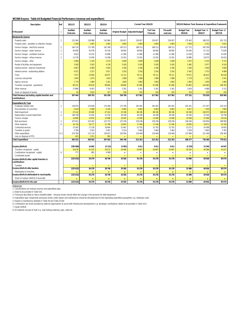#### **WC048 Knysna - Table A4 Budgeted Financial Performance (revenue and expenditure)**

| <b>Description</b>                                           | Ref            | 2011/12                   | 2012/13                          | 2013/14                   |                        |                        | Current Year 2014/15                |                          | 2015/16 Medium Term Revenue & Expenditure Framework |                           |                           |  |
|--------------------------------------------------------------|----------------|---------------------------|----------------------------------|---------------------------|------------------------|------------------------|-------------------------------------|--------------------------|-----------------------------------------------------|---------------------------|---------------------------|--|
| <b>R</b> thousand                                            |                | <b>Audited</b><br>Outcome | <b>Audited</b><br><b>Outcome</b> | <b>Audited</b><br>Outcome | <b>Original Budget</b> | <b>Adjusted Budget</b> | <b>Full Year</b><br><b>Forecast</b> | Pre-audit<br>outcome     | <b>Budget Year</b><br>2015/16                       | Budget Year +1<br>2016/17 | Budget Year +2<br>2017/18 |  |
| <b>Revenue By Source</b>                                     |                |                           |                                  |                           |                        |                        |                                     |                          |                                                     |                           |                           |  |
| Property rates                                               | $\overline{2}$ | 125 364                   | 139 988                          | 143 966                   | 159 457                | 159 457                | 159 457                             | 159 457                  | 175 403                                             | 188 535                   | 201 733                   |  |
| Property rates - penalties & collection charges              |                | 2 3 5 6                   | 2 4 8 7                          | 3 0 6 5                   | 2 8 0 4                | 2804                   | 2804                                | 2 8 0 4                  | 3 0 5 6                                             | 3 3 3 1                   | 3 6 3 1                   |  |
| Service charges - electricity revenue                        | $\overline{2}$ | 160 116                   | 172 199                          | 181 348                   | 193 213                | 188 213                | 188 213                             | 188 213                  | 217 731                                             | 245 359                   | 276 495                   |  |
| Service charges - water revenue                              | $\overline{2}$ | 40 656                    | 43 0 78                          | 43530                     | 48 904                 | 48 904                 | 48 904                              | 48 904                   | 54 036                                              | 67132                     | 71829                     |  |
|                                                              | $\overline{2}$ |                           |                                  |                           |                        |                        |                                     |                          |                                                     |                           |                           |  |
| Service charges - sanitation revenue                         |                | 9632                      | 10 2 3 2                         | 10898                     | 11 4 6 9               | 11 4 69                | 11 4 6 9                            | 11 4 6 9                 | 12618                                               | 13499                     | 14 4 45                   |  |
| Service charges - refuse revenue                             | $\mathfrak{p}$ | 13 1 7 9                  | 13 4 5 9                         | 14188                     | 15 3 5 2               | 15 3 5 2               | 15 3 5 2                            | 15 3 5 2                 | 16886                                               | 18575                     | 20 4 3 3                  |  |
| Service charges - other                                      |                | 2 9 6 6                   | 2 3 3 4                          | 2574                      | 3648                   | 3648                   | 3 6 4 8                             | 3 6 4 8                  | 3 9 7 5                                             | 4 3 3 3                   | 4 7 2 2                   |  |
| Rental of facilities and equipment                           |                | 3500                      | 3 5 6 3                          | 4 1 3 8                   | 5 0 3 0                | 5 0 3 0                | 5 0 3 0                             | 5 0 3 0                  | 5 4 8 2                                             | 5977                      | 6516                      |  |
| Interest earned - external investments                       |                | 6 6 6 7                   | 6589                             | 5944                      | 2 3 4 6                | 2 3 4 6                | 2 3 4 6                             | 2 3 4 6                  | 3 200                                               | 3 4 0 0                   | 3 6 0 0                   |  |
| Interest earned - outstanding debtors                        |                | 4551                      | 3 2 3 7                          | 3617                      | 3 2 5 0                | 3 2 5 0                | 3 2 5 0                             | 3 2 5 0                  | 3542                                                | 3753                      | 4 0 8 9                   |  |
| Fines                                                        |                | 7677                      | 13 964                           | 46977                     | 15 111                 | 78 111                 | 78 111                              | 78 111                   | 79 471                                              | 86623                     | 94 4 18                   |  |
| Licences and permits                                         |                | 1843                      | 1674                             | 1643                      | 1998                   | 1998                   | 1998                                | 1998                     | 2 1 7 9                                             | 2 3 3 1                   | 2 5 4 1                   |  |
| Agency services                                              |                | 1774                      | 1809                             | 2 1 6 1                   | 1800                   | 1800                   | 1800                                | 1800                     | 1850                                                | 1950                      | 1960                      |  |
| Transfers recognised - operational                           |                | 89 231                    | 83819                            | 89804                     | 68844                  | 91 990                 | 91 990                              | 91 990                   | 93 803                                              | 104 483                   | 108 783                   |  |
|                                                              |                |                           |                                  |                           |                        |                        |                                     |                          |                                                     |                           |                           |  |
| Other revenue                                                | $\overline{2}$ | 37889                     | 8 4 5 5                          | 7750                      | 3 2 9 1                | 3 3 4 1                | 3 3 4 1                             | 3 3 4 1                  | 3619                                                | 4 0 8 9                   | 5 1 1 5                   |  |
| Gains on disposal of assets                                  |                | 43                        | 2816                             | 327                       | 250                    | 250                    | 250                                 | 250                      | 250                                                 | 250                       | 250                       |  |
| otal Revenue (excluding capital transfers and                |                | 507 444                   | 509 703                          | 561 930                   | 536 766                | 617 962                | 617 962                             | 617 962                  | 677 101                                             | 753 620                   | 820 560                   |  |
| contributions)                                               |                |                           |                                  |                           |                        |                        |                                     |                          |                                                     |                           |                           |  |
| <b>Expenditure By Type</b>                                   |                |                           |                                  |                           |                        |                        |                                     |                          |                                                     |                           |                           |  |
| Employee related costs                                       | $\overline{2}$ | 139 676                   | 153 828                          | 170 268                   | 173 706                | 181 491                | 181 491                             | 181 491                  | 201 541                                             | 217 447                   | 232 214                   |  |
| Remuneration of councillors                                  |                | 5619                      | 5 9 0 8                          | 6 2 4 0                   | 6 6 6 5                | 6 6 6 5                | 6 6 6 5                             | 6 6 6 5                  | 6817                                                | 7 2 9 4                   | 7804                      |  |
| Debt impairment                                              | 3              | 25 142                    | 20 480                           | 47163                     | 25 196                 | 88 196                 | 88 1 96                             | 88 196                   | 94 369                                              | 100 975                   | 108 043                   |  |
| Depreciation & asset impairment                              | $\overline{2}$ | 148 738                   | 21 4 03                          | 22234                     | 28 199                 | 28 199                 | 28 199                              | 28 199                   | 29 146                                              | 32544                     | 34 749                    |  |
| Finance charges                                              |                | 16 68 6                   | 14876                            | 14 4 8 8                  | 18 4 93                | 14 4 9 9               | 14 4 9 9                            | 14 4 9 9                 | 16568                                               | 15586                     | 16520                     |  |
| <b>Bulk purchases</b>                                        | $\mathfrak{p}$ | 107 621                   | 122 262                          | 123 733                   | 137 236                | 129 236                | 129 236                             | 129 236                  | 146 160                                             | 154 954                   | 168 900                   |  |
| Other materials                                              | 8              | 16716                     | 18 177                           | 21789                     | 16843                  | 17440                  | 17440                               | 17440                    | 18 9 50                                             | 19871                     | 20790                     |  |
| Contracted services                                          |                | 15 3 63                   | 17 128                           | 18694                     | 22941                  | 22 755                 | 22 755                              | 22 755                   | 23 27 2                                             | 24598                     | 24 903                    |  |
| Transfers & grants                                           |                | 5784                      | 5 6 1 0                          | 5 0 0 1                   | 5 5 1 4                | 5 4 6 4                | 5 4 6 4                             | 5 4 6 4                  | 5 5 5 6                                             | 5 6 6 5                   | 5 7 8 1                   |  |
| Other expenditure                                            | 4,5            | 210 766                   | 112 119                          | 136 871                   | 105 956                | 119 408                | 119 408                             | 119 408                  | 137 999                                             | 151 346                   | 156 309                   |  |
| Loss on disposal of PPE                                      |                | 422                       | 3 2 5 1                          | 562                       |                        |                        |                                     |                          |                                                     |                           |                           |  |
| <b>Total Expenditure</b>                                     |                | 692 532                   | 495 042                          | 567 043                   | 540 748                | 613 352                | 613 352                             | 613 352                  | 680 377                                             | 730 280                   | 776 013                   |  |
|                                                              |                |                           |                                  |                           |                        |                        |                                     |                          |                                                     |                           |                           |  |
| Surplus/(Deficit)                                            |                | (18508)                   | 14 6 62                          | (5113)                    | (3981)                 | 4611                   | 4611                                | 4611                     | (3276)                                              | 23 3 40                   | 44547                     |  |
| Transfers recognised - capital                               |                | 30 6 79                   | 41 0 23                          | 39272                     | 39 4 84                | 50 667                 | 50 667                              | 50 667                   | 56 265                                              | 46586                     | 41 0 27                   |  |
| Contributions recognised - capital                           | 6              | 777                       | 695                              | 4589                      | $\sim$                 | $\blacksquare$         | $\overline{\phantom{a}}$            | $\overline{\phantom{0}}$ | $\sim$                                              | $\sim$                    | $\sim$                    |  |
| Contributed assets                                           |                | ٠                         | $\sim$                           |                           | $\sim$                 |                        | $\overline{\phantom{a}}$            |                          |                                                     |                           |                           |  |
| Surplus/(Deficit) after capital transfers &<br>contributions |                | (153632)                  | 56 379                           | 38749                     | 35 503                 | 55 278                 | 55 278                              | 55 278                   | 52 989                                              | 69926                     | 85 574                    |  |
| Taxation                                                     |                | ۰                         | ٠                                | $\sim$                    | $\sim$                 | $\equiv$               | $\equiv$                            |                          | ٠                                                   | $\sim$                    | $\sim$                    |  |
| Surplus/(Deficit) after taxation                             |                | (153632)                  | 56 379                           | 38749                     | 35 503                 | 55 278                 | 55 278                              | 55 278                   | 52 989                                              | 69926                     | 85 574                    |  |
| Attributable to minorities                                   |                |                           | $\equiv$                         |                           |                        |                        |                                     |                          |                                                     |                           |                           |  |
| Surplus/(Deficit) attributable to municipality               |                | (153632)                  | 56 379                           | 38749                     | 35 503                 | 55 278                 | 55 278                              | 55 278                   | 52 989                                              | 69926                     | 85 5 74                   |  |
| Share of surplus/ (deficit) of associate                     | $\overline{7}$ |                           | $\equiv$                         | $\sim$                    | <b>College</b>         | -                      |                                     |                          |                                                     |                           | $\sim$                    |  |
| Surplus/(Deficit) for the year                               |                | (153632)                  | 56 379                           | 38749                     | 35 503                 | 55 278                 | 55 278                              | 55 278                   | 52 989                                              | 69926                     | 85 5 74                   |  |

*References*

*1. Classifications are revenue sources and expenditure type*

*2. Detail to be provided in Table SA1 3. Previously described as 'bad or doubtful debts' - amounts shown should reflect the change in the provision for debt impairment*

4. Expenditure type components previously shown under repairs and maintenance should be allocated back to the originating expenditure group/ltem; e.g. employee costs<br>5. Repairs & maintenance detailed in Table A9 and Table

*7. Equity method*

*8. All materials not part of 'bulk' e.g road making materials, pipe, cable etc.*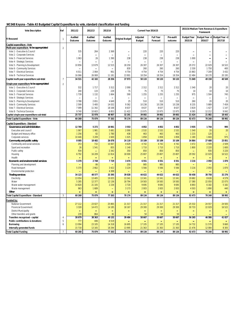# **WC048 Knysna - Table A5 Budgeted Capital Expenditure by vote, standard classification and funding**

| <b>Vote Description</b>                     | Ref            | 2011/12            | 2012/13                  | 2013/14                          |                              | Current Year 2014/15             |                                     |                          | 2015/16 Medium Term Revenue & Expenditure<br><b>Framework</b> |          |                                          |
|---------------------------------------------|----------------|--------------------|--------------------------|----------------------------------|------------------------------|----------------------------------|-------------------------------------|--------------------------|---------------------------------------------------------------|----------|------------------------------------------|
| <b>R</b> thousand                           | $\overline{1}$ | Audited<br>Outcome | Audited<br>Outcome       | <b>Audited</b><br><b>Outcome</b> | <b>Original Budget</b>       | <b>Adjusted</b><br><b>Budget</b> | <b>Full Year</b><br><b>Forecast</b> | Pre-audit<br>outcome     | <b>Budget Year</b><br>2015/16                                 | 2016/17  | Budget Year +1 Budget Year +2<br>2017/18 |
| Capital expenditure - Vote                  |                |                    |                          |                                  |                              |                                  |                                     |                          |                                                               |          |                                          |
| Multi-year expenditure to be appropriated   | $\overline{2}$ |                    |                          |                                  |                              |                                  |                                     |                          |                                                               |          |                                          |
| Vote 1 - Executive & Council                |                | 535                | 264                      | 2 3 6 9                          | $\overline{\phantom{0}}$     | 220                              | 220                                 | 220                      | $\overline{\phantom{0}}$                                      | -        |                                          |
| Vote 2 - Corporate Services                 |                |                    | ÷                        |                                  | ÷                            | $\overline{\phantom{a}}$         | $\blacksquare$                      | $\overline{\phantom{0}}$ |                                                               |          |                                          |
| Vote 3 - Financial Services                 |                | 1 0 6 3            | 26                       | 1 3 9 0                          | 238                          | 238                              | 238                                 | 238                      | 1 0 0 0                                                       |          |                                          |
| Vote 4 - Strategic Services                 |                |                    | $\overline{\phantom{0}}$ |                                  | $\equiv$                     |                                  |                                     |                          |                                                               | ÷        |                                          |
| Vote 5 - Planning & Development             |                | 10856              | 13679                    | 12 5 15                          | 18 250                       | 26 307                           | 26 307                              | 26 307                   | 29 372                                                        | 22 0 29  | 16 522                                   |
| Vote 6 - Community Services                 |                |                    | $\blacksquare$           | $\blacksquare$                   | 830                          | 260                              | 260                                 | 260                      | 2 3 3 0                                                       | 1750     | 400                                      |
| Vote 7 - Electrical Services                |                | 6011               | 2064                     | 901                              | 4 7 5 4                      | 4 7 5 4                          | 4 7 5 4                             | 4 7 5 4                  | 15 863                                                        | 7 209    | 3 4 3 2                                  |
| Vote 8 - Technical Services                 |                | 16 066             | 26 069                   | 11 181                           | 13 901                       | 18 3 54                          | 18 3 54                             | 18 3 54                  | 22 484                                                        | 18 170   | 20 195                                   |
| Capital multi-year expenditure sub-total    | $\overline{7}$ | 34 531             | 42 102                   | 28 3 5 6                         | 37 973                       | 50 133                           | 50 133                              | 50 133                   | 71 049                                                        | 49 158   | 40 549                                   |
| Single-year expenditure to be appropriated  | $\overline{2}$ |                    |                          |                                  |                              |                                  |                                     |                          |                                                               |          |                                          |
| Vote 1 - Executive & Council                |                | 532                | 1717                     | 3 3 1 2                          | 2090                         | 2 3 1 2                          | 2 3 1 2                             | 2 3 1 2                  | 1540                                                          | 20       | 20                                       |
| Vote 2 - Corporate Services                 |                | 240                | 133                      | 229                              | 75                           | 75                               | 75                                  | 75                       | 10                                                            | 10       | 10                                       |
| Vote 3 - Financial Services                 |                | 1739               | 1 1 3 2                  | 1664                             | 590                          | 1 2 5 5                          | 1 2 5 5                             | 1 2 5 5                  | 975                                                           | 1504     | 745                                      |
| Vote 4 - Strategic Services                 |                |                    | $\blacksquare$           |                                  | $\qquad \qquad \blacksquare$ | $\overline{\phantom{0}}$         | $\blacksquare$                      | $\qquad \qquad$          | $\qquad \qquad \blacksquare$                                  | -        |                                          |
| Vote 5 - Planning & Development             |                | 3788               | 2651                     | 4 6 4 9                          | 25                           | 510                              | 510                                 | 510                      | 260                                                           | 20       | 20                                       |
| Vote 6 - Community Services                 |                | 2599               | 5 4 0 0                  | 14 0 32                          | 9 3 6 2                      | 10 238                           | 10 238                              | 10 238                   | 8 2 3 5                                                       | 5889     | 7 4 5 9                                  |
| Vote 7 - Electrical Services                |                | 7099               | 11 342                   | 18 168                           | 8637                         | 8637                             | 8637                                | 8637                     | 3819                                                          | 1427     | 1 1 4 7                                  |
| Vote 8 - Technical Services                 |                | 9740               | 10 603                   | 6853                             | 11 422                       | 15 975                           | 15 975                              | 15 975                   | 6585                                                          | 12 212   | 9042                                     |
| Capital single-year expenditure sub-total   |                | 25 737             | 32 978                   | 48 907                           | 32 201                       | 39 002                           | 39 002                              | 39 002                   | 21 4 24                                                       | 21 082   | 18 443                                   |
| <b>Total Capital Expenditure - Vote</b>     |                | 60 268             | 75 079                   | 77 263                           | 70 174                       | 89 134                           | 89 134                              | 89 134                   | 92 473                                                        | 70 240   | 58 992                                   |
| Capital Expenditure - Standard              |                |                    |                          |                                  |                              |                                  |                                     |                          |                                                               |          |                                          |
| Governance and administration               |                | 12 769             | 5 2 7 2                  | 10 061                           | 3553                         | 4852                             | 4852                                | 4852                     | 3935                                                          | 1744     | 995                                      |
| <b>Executive and council</b>                |                | 1 0 6 7            | 1981                     | 5 6 8 1                          | 2090                         | 2532                             | 2532                                | 2 5 3 2                  | 1540                                                          | 20       | 20                                       |
| Budget and treasury office                  |                | 1 2 5 6            | 82                       | 1780                             | 438                          | 463                              | 463                                 | 463                      | 1 2 1 5                                                       | 120      |                                          |
| Corporate services                          |                | 10 4 46            | 3 2 0 9                  | 2 6 0 0                          | 1 0 25                       | 1858                             | 1858                                | 1858                     | 1 1 8 0                                                       | 1604     | 975                                      |
| <b>Community and public safety</b>          |                | 8 0 0 5            | 18 4 82                  | 26 078                           | 24 119                       | 33 109                           | 33 109                              | 33 109                   | 34 864                                                        | 27 688   | 23 851                                   |
| Community and social services               |                | 253                | 732                      | 10 067                           | 4 6 2 9                      | 4742                             | 4 7 4 2                             | 4 7 4 2                  | 3 4 7 2                                                       | 2509     | 2509                                     |
| Sport and recreation                        |                | 26                 | 1541                     | 855                              | 1 1 4 0                      | 1710                             | 1710                                | 1710                     | 1800                                                          | 2 2 2 0  | 1600                                     |
| Public safety                               |                | 934                |                          | 2 3 4 2                          | 350                          | 850                              | 850                                 | 850                      |                                                               | 930      | 3 2 2 0                                  |
| Housing                                     |                | 6792               | 16 209                   | 12814                            | 18 000                       | 25 807                           | 25 807                              | 25 807                   | 29 5 9 2                                                      | 22 0 29  | 16 522                                   |
| Health                                      |                |                    | ÷                        |                                  | ÷                            |                                  |                                     | ÷                        |                                                               | ÷        |                                          |
| <b>Economic and environmental services</b>  |                | 5 3 7 0            | 2748                     | 7729                             | 3 4 7 4                      | 6551                             | 6551                                | 6551                     | 3 2 1 6                                                       | 2050     | 1870                                     |
| Planning and development                    |                |                    | 86                       |                                  | 250                          | 985                              | 985                                 | 985                      |                                                               | -        |                                          |
| Road transport                              |                | 5 3 7 0            | 2662                     | 3 4 2 2                          | 3 2 2 4                      | 5 5 6 6                          | 5 5 6 6                             | 5 5 6 6                  | 3 2 1 6                                                       | 2 0 5 0  | 1870                                     |
| Environmental protection                    |                |                    | ÷                        | 4 3 0 8                          | ÷                            |                                  |                                     | $\equiv$                 |                                                               | ÷        |                                          |
| <b>Trading services</b>                     |                | 34 123             | 48 577                   | 33 395                           | 39 028                       | 44 622                           | 44 622                              | 44 622                   | 50 458                                                        | 38 758   | 32 276                                   |
| Electricity                                 |                | 13 0 54            | 13 4 05                  | 19 0 25                          | 13 341                       | 13 341                           | 13 341                              | 13 341                   | 19 682                                                        | 8 6 3 6  | 4579                                     |
| Water                                       |                | 5 2 8 5            | 12 377                   | 12 13 6                          | 18 794                       | 19583                            | 19583                               | 19 583                   | 17 380                                                        | 22 050   | 22 075                                   |
| Waste water management                      |                | 14 8 20            | 21 105                   | 2 2 3 4                          | 3720                         | 9695                             | 9695                                | 9695                     | 8893                                                          | 6 182    | 5 1 8 2                                  |
| Waste management                            |                | 963                | 1689                     | ÷                                | 3 1 7 3                      | 2 0 0 3                          | 2 0 0 3                             | 2 0 0 3                  | 4503                                                          | 1890     | 440                                      |
| Other                                       |                |                    | -                        | $\overline{\phantom{a}}$         | $\sim$                       |                                  | $\blacksquare$                      | $\blacksquare$           | ۰                                                             | ٠        |                                          |
| <b>Total Capital Expenditure - Standard</b> | 3              | 60 268             | 75 079                   | 77 263                           | 70 174                       | 89 134                           | 89 134                              | 89 134                   | 92 473                                                        | 70 240   | 58 992                                   |
| Funded by:                                  |                |                    |                          |                                  |                              |                                  |                                     |                          |                                                               |          |                                          |
| National Government                         |                | 27 112             | 23 0 27                  | 25 865                           | 21 317                       | 21 317                           | 21 317                              | 21 317                   | 25 5 32                                                       | 24 5 57  | 24 50 5                                  |
| <b>Provincial Government</b>                |                | 3 3 2 8            | 14 472                   | 14 185                           | 18 16 7                      | 29 300                           | 29 300                              | 29 300                   | 30 733                                                        | 22 0 29  | 16 522                                   |
| <b>District Municipality</b>                |                |                    | $\sim$                   |                                  | $\equiv$                     |                                  | $\sim$                              | $\equiv$                 | $\equiv$                                                      | $\equiv$ |                                          |
| Other transfers and grants                  |                | 239                | 864                      | 81                               | $\equiv$                     | 50                               | 50                                  | 50                       | $\sim$                                                        | $\equiv$ | $\sim$                                   |
| Transfers recognised - capital              | $\overline{4}$ | 30 679             | 38 36 3                  | 40 132                           | 39 484                       | 50 667                           | 50 667                              | 50 667                   | 56 265                                                        | 46 586   | 41 027                                   |
| Public contributions & donations            | 5              | 777                | 446                      | 4519                             | ÷                            |                                  |                                     |                          |                                                               | ÷        |                                          |
| <b>Borrowing</b>                            | 6              | 13 094             | 23 105                   | 14 3 18                          | 16 6 95                      | 17 105                           | 17 105                              | 17 105                   | 14 7 32                                                       | 11 570   | 9660                                     |
| Internally generated funds                  |                | 15 718             | 13 16 5                  | 18 294                           | 13 995                       | 21 363                           | 21 363                              | 21 363                   | 21 4 7 6                                                      | 12 084   | 8 3 0 5                                  |
| <b>Total Capital Funding</b>                | $\overline{7}$ | 60 268             | 75 079                   | 77 263                           | 70 174                       | 89 134                           | 89 134                              | 89 134                   | 92 473                                                        | 70 240   | 58 992                                   |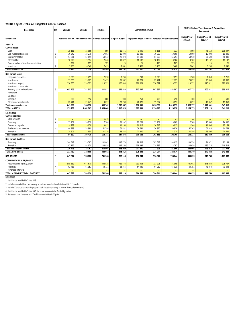#### **WC048 Knysna - Table A6 Budgeted Financial Position**

| <b>Description</b>                                 | Ref                    | 2011/12                | 2012/13                  | 2013/14                |                          |                        | Current Year 2014/15 |                                      | 2015/16 Medium Term Revenue & Expenditure<br><b>Framework</b> |                           |                           |  |
|----------------------------------------------------|------------------------|------------------------|--------------------------|------------------------|--------------------------|------------------------|----------------------|--------------------------------------|---------------------------------------------------------------|---------------------------|---------------------------|--|
| <b>R</b> thousand                                  |                        | <b>Audited Outcome</b> | <b>Audited Outcome</b>   | <b>Audited Outcome</b> | <b>Original Budget</b>   | <b>Adjusted Budget</b> |                      | Full Year Forecast Pre-audit outcome | <b>Budget Year</b><br>2015/16                                 | Budget Year +1<br>2016/17 | Budget Year +2<br>2017/18 |  |
| <b>ASSETS</b>                                      |                        |                        |                          |                        |                          |                        |                      |                                      |                                                               |                           |                           |  |
| <b>Current assets</b>                              |                        |                        |                          |                        |                          |                        |                      |                                      |                                                               |                           |                           |  |
| Cash                                               |                        | 25 161                 | 22 8 8 5                 | 596                    | 12 551                   | 1 9 9 0                | 5 1 3 1              | 5 1 3 1                              | 5 9 9 8                                                       | 46 114                    | 108 097                   |  |
| Call investment deposits                           |                        | 30 342                 | 23 276                   | 17 983                 | 15 000                   | 11 983                 | 10 000               | 10 000                               | 10 000                                                        | 10 000                    | 10 000                    |  |
| Consumer debtors                                   |                        | 54 671                 | 67 199                   | 64 542                 | 78 373                   | 64 183                 | 61 253               | 61 253                               | 58 930                                                        | 57 609                    | 56 938                    |  |
| Other debtors                                      |                        | 10 9 29                | 9514                     | 17 240                 | 11 077                   | 18 10 2                | 18 10 2              | 18 10 2                              | 18 10 2                                                       | 18 10 2                   | 18 10 2                   |  |
| Current portion of long-term receivables           |                        | 202                    | 115                      | 125                    | 125                      | 125                    | 125                  | 125                                  | 125                                                           | 125                       | 125                       |  |
| Inventory                                          | $\overline{2}$         | 7 9 6 5                | 8540                     | 7 4 1 9                | 7 6 6 1                  | 7 4 6 8                | 7 4 6 8              | 7 4 6 8                              | 7841                                                          | 8 2 3 3                   | 8 6 4 5                   |  |
| <b>Total current assets</b>                        |                        | 129 270                | 131 528                  | 107 905                | 124 787                  | 103 850                | 102 079              | 102 079                              | 100 996                                                       | 140 182                   | 201 907                   |  |
| <b>Non current assets</b>                          |                        |                        |                          |                        |                          |                        |                      |                                      |                                                               |                           |                           |  |
| Long-term receivables                              |                        | 3 0 6 5                | 2 2 9 5                  | 2 2 18                 | 2 7 3 4                  | 230                    | 2 0 9 3              | 2093                                 | 1968                                                          | 1843                      | 1 7 1 8                   |  |
| Investments                                        |                        | 17 385                 | 19 0 25                  | 21 4 35                | 21 982                   | 22 7 21                | 22 721               | 22 7 21                              | 23 857                                                        | 25 050                    | 26 302                    |  |
| Investment property                                |                        | 110 355                | 110 321                  | 110 321                | 130 645                  | 110 321                | 110 321              | 110 321                              | 110 321                                                       | 110 321                   | 110 321                   |  |
| Investment in Associate                            |                        | $\sim$                 | $\overline{\phantom{a}}$ |                        | $\overline{\phantom{a}}$ | $\sim$                 |                      |                                      | $\equiv$                                                      | $\equiv$                  |                           |  |
| Property, plant and equipment                      | 3                      | 695 753                | 744 803                  | 802 912                | 839 639                  | 863 897                | 863 897              | 863 897                              | 927 275                                                       | 965 021                   | 989 314                   |  |
| Agricultural                                       |                        | $\sim$                 |                          |                        |                          | $\sim$                 |                      |                                      | $\equiv$                                                      | $\equiv$                  |                           |  |
| Biological                                         |                        | $\sim$                 | $\overline{\phantom{a}}$ | $\equiv$               |                          | $\sim$                 |                      | $\equiv$                             | $\equiv$                                                      | $\equiv$                  | $\overline{\phantom{a}}$  |  |
| Intangible                                         |                        | 669                    | 992                      | 800                    | 900                      | 750                    | 750                  | 750                                  | 700                                                           | 650                       | 600                       |  |
| Other non-current assets                           |                        | 22 741                 | 22 741                   | 19 057                 | 22 738                   | 20 9 20                | 19 057               | 19 057                               | 19 057                                                        | 19 057                    | 19 057                    |  |
| <b>Total non current assets</b>                    |                        | 849 969                | 900 178                  | 956 742                | 1 018 637                | 1018839                | 1018839              | 1018839                              | 1 083 177                                                     | 1 1 2 1 9 4 1             | 1 147 312                 |  |
| <b>TOTAL ASSETS</b>                                |                        | 979 238                | 1031705                  | 1 064 648              | 1 143 424                | 1 1 2 6 8 9            | 1 120 918            | 1 120 918                            | 1 184 173                                                     | 1262123                   | 1 349 219                 |  |
| <b>LIABILITIES</b>                                 |                        |                        |                          |                        |                          |                        |                      |                                      |                                                               |                           |                           |  |
| <b>Current liabilities</b>                         |                        |                        |                          |                        |                          |                        |                      |                                      |                                                               |                           |                           |  |
| Bank overdraft                                     |                        | $\equiv$               | $\equiv$                 | 1 2 7 6                | $\overline{\phantom{a}}$ | $\equiv$               |                      | $\equiv$                             | $\equiv$                                                      | $\equiv$                  |                           |  |
| Borrowing                                          | $\boldsymbol{\Lambda}$ | 17 259                 | 18 130                   | 17 786                 | 21 147                   | 19 209                 | 19 20 9              | 19 209                               | 17 500                                                        | 16 000                    | 14 500                    |  |
| Consumer deposits                                  |                        | 9 2 8 9                | 9658                     | 10 012                 | 11 265                   | 10813                  | 10813                | 10813                                | 11 246                                                        | 11 696                    | 12 164                    |  |
| Trade and other payables                           | $\Delta$               | 49 338                 | 55 980                   | 61 786                 | 61 481                   | 56 684                 | 50 826               | 50 826                               | 57 205                                                        | 61 348                    | 64 769                    |  |
| Provisions                                         |                        | 18 806                 | 21 650                   | 21 3 20                | 23 382                   | 21 3 20                | 21 3 20              | 21 3 20                              | 22 38 6                                                       | 23 506                    | 24 681                    |  |
| <b>Total current liabilities</b>                   |                        | 94 692                 | 105 418                  | 112 181                | 117 274                  | 108 026                | 102 168              | 102 168                              | 108 337                                                       | 112 549                   | 116 113                   |  |
|                                                    |                        |                        |                          |                        |                          |                        |                      |                                      |                                                               |                           |                           |  |
| Non current liabilities                            |                        | 149 548                | 129 597                  | 102 042                | 115 779                  | 99 528                 |                      | 103 613                              | 100 354                                                       | 94 071                    | 81 154                    |  |
| Borrowing                                          |                        |                        |                          |                        |                          |                        | 103 613              |                                      |                                                               |                           |                           |  |
| Provisions<br><b>Total non current liabilities</b> |                        | 87 176<br>236 725      | 93 670<br>223 267        | 108 859<br>210 901     | 112 260<br>228 039       | 118 292<br>217820      | 118 292<br>221 906   | 118 292<br>221 906                   | 125 650<br>226 004                                            | 135 744<br>229 815        | 146 619<br>227 773        |  |
| <b>TOTAL LIABILITIES</b>                           |                        | 331 417                | 328 685                  | 323 082                | 345 313                  | 325 846                | 324 074              | 324 074                              | 334 340                                                       | 342 364                   | 343 886                   |  |
|                                                    |                        |                        |                          |                        |                          |                        |                      |                                      |                                                               |                           |                           |  |
| <b>NET ASSETS</b>                                  | 5                      | 647 822                | 703 020                  | 741 566                | 798 110                  | 796 844                | 796 844              | 796 844                              | 849 833                                                       | 919 759                   | 1 005 333                 |  |
| <b>COMMUNITY WEALTH/EQUITY</b>                     |                        |                        |                          |                        |                          |                        |                      |                                      |                                                               |                           |                           |  |
| Accumulated Surplus/(Deficit)                      |                        | 585 339                | 641 670                  | 682 835                | 712 756                  | 731 905                | 731 905              | 731 905                              | 781 682                                                       | 845 886                   | 925 727                   |  |
| Reserves                                           | 4                      | 62 483                 | 61 351                   | 58 731                 | 85 355                   | 64 939                 | 64 939               | 64 939                               | 68 151                                                        | 73 873                    | 79 606                    |  |
| Minorities' interests                              |                        |                        |                          |                        |                          | $\equiv$               |                      |                                      |                                                               | $\equiv$                  |                           |  |
| TOTAL COMMUNITY WEALTH/EQUITY                      | 5                      | 647 822                | 703 020                  | 741 566                | 798 110                  | 796 844                | 796 844              | 796 844                              | 849 833                                                       | 919 759                   | 1 005 333                 |  |
| References                                         |                        |                        |                          |                        |                          |                        |                      |                                      |                                                               |                           |                           |  |

*1. Detail to be provided in Table SA3*

*2. Include completed low cost housing to be transferred to beneficiaries within 12 months*

*3. Include 'Construction-work-in-progress' (disclosed separately in annual financial statements)*

*4. Detail to be provided in Table SA3. Includes reserves to be funded by statute. 5. Net assets must balance with Total Community Wealth/Equity*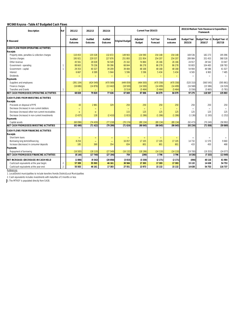# **WC048 Knysna - Table A7 Budgeted Cash Flows**

| <b>Description</b>                                | Ref                     | 2011/12                   | 2012/13                   | 2013/14                   |                        | Current Year 2014/15             |                              |                      | 2015/16 Medium Term Revenue & Expenditure<br><b>Framework</b> |                          |                                          |
|---------------------------------------------------|-------------------------|---------------------------|---------------------------|---------------------------|------------------------|----------------------------------|------------------------------|----------------------|---------------------------------------------------------------|--------------------------|------------------------------------------|
| <b>R</b> thousand                                 |                         | <b>Audited</b><br>Outcome | <b>Audited</b><br>Outcome | <b>Audited</b><br>Outcome | <b>Original Budget</b> | <b>Adjusted</b><br><b>Budget</b> | <b>Full Year</b><br>Forecast | Pre-audit<br>outcome | <b>Budget Year</b><br>2015/16                                 | 2016/17                  | Budget Year +1 Budget Year +2<br>2017/18 |
| <b>CASH FLOW FROM OPERATING ACTIVITIES</b>        |                         |                           |                           |                           |                        |                                  |                              |                      |                                                               |                          |                                          |
| <b>Receipts</b>                                   |                         |                           |                           |                           |                        |                                  |                              |                      |                                                               |                          |                                          |
| Property rates, penalties & collection charges    |                         | 110 453                   | 135 528                   | 132 672                   | 149 943                | 134 590                          | 154 148                      | 154 148              | 169 536                                                       | 182 273                  | 195 096                                  |
| Service charges                                   |                         | 195 921                   | 229 537                   | 227 876                   | 251893                 | 221 954                          | 254 207                      | 254 207              | 289 984                                                       | 331 453                  | 368 528                                  |
| Other revenue                                     |                         | 45 561                    | 28 0 28                   | 56 549                    | 25 162                 | 74 884                           | 26 16 6                      | 26 16 6              | 24 917                                                        | 28 5 42                  | 33 047                                   |
| Government - operating                            | $\mathbf{1}$            | 88 663                    | 79 236                    | 99 396                    | 68 844                 | 86 278                           | 86 278                       | 86 278               | 93 803                                                        | 104 483                  | 108 783                                  |
| Government - capital                              | 1                       | 29 3 53                   | 40 327                    | 39 209                    | 39 4 84                | 48 168                           | 48 168                       | 48 168               | 54 904                                                        | 46 586                   | 41 027                                   |
| Interest                                          |                         | 6667                      | 6589                      | 5944                      | 5 5 9 6                | 5 5 9 6                          | 5 4 3 4                      | 5 4 3 4              | 6565                                                          | 6 9 6 5                  | 7485                                     |
| <b>Dividends</b>                                  |                         |                           |                           | $\equiv$                  | ▃                      | $\equiv$                         |                              | $\equiv$             |                                                               | $\overline{\phantom{0}}$ | $\overline{\phantom{m}}$                 |
| <b>Payments</b>                                   |                         |                           |                           |                           |                        |                                  |                              |                      |                                                               |                          |                                          |
| Suppliers and employees                           |                         | (391104)                  | (424549)                  | (470 569)                 | (449059)               | (464500)                         | (470358)                     | (470 358)            | (520310)                                                      | (560545)                 | (595861)                                 |
| Finance charges                                   |                         | (16686)                   | (14876)                   | (13 442)                  | (18500)                | (14500)                          | (14499)                      | (14499)              | (16568)                                                       | (15586)                  | (16520)                                  |
| <b>Transfers and Grants</b>                       | $\mathbf{1}$            |                           |                           |                           | (5514)                 | (5464)                           | (5464)                       | (5464)               | (5556)                                                        | (5665)                   | (5781)                                   |
| <b>NET CASH FROM/(USED) OPERATING ACTIVITIES</b>  |                         | 68828                     | 79 820                    | 77636                     | 67849                  | 87 006                           | 84 079                       | 84 079               | 97 275                                                        | 118 507                  | 135 803                                  |
| <b>CASH FLOWS FROM INVESTING ACTIVITIES</b>       |                         |                           |                           |                           |                        |                                  |                              |                      |                                                               |                          |                                          |
| <b>Receipts</b>                                   |                         |                           |                           |                           |                        |                                  |                              |                      |                                                               |                          |                                          |
| Proceeds on disposal of PPE                       |                         | 43                        | 2881                      | 329                       | 250                    | 250                              | 250                          | 250                  | 250                                                           | 250                      | 250                                      |
| Decrease (Increase) in non-current debtors        |                         |                           |                           |                           | $\equiv$               | ۰                                |                              | $\equiv$             | $\sim$                                                        | $\overline{\phantom{a}}$ |                                          |
| Decrease (increase) other non-current receivables |                         | -                         | $\overline{\phantom{0}}$  |                           | 115                    | 125                              | 125                          | 125                  | 125                                                           | 125                      | 125                                      |
| Decrease (increase) in non-current investments    |                         | (2437)                    | 128                       | (2410)                    | (1815)                 | (1286)                           | (1286)                       | (1286)               | (1136)                                                        | (1193)                   | (1252)                                   |
| <b>Payments</b>                                   |                         |                           |                           |                           |                        |                                  |                              |                      |                                                               |                          |                                          |
| Capital assets                                    |                         | (60096)                   | (74430)                   | (77218)                   | (70174)                | (89134)                          | (89134)                      | (89 134)             | (92 473)                                                      | (70240)                  | (58992)                                  |
| <b>NET CASH FROM/(USED) INVESTING ACTIVITIES</b>  |                         | (62490)                   | (71422)                   | (79299)                   | (71624)                | (90045)                          | (90045)                      | (90045)              | (93234)                                                       | (71058)                  | (59869)                                  |
| <b>CASH FLOWS FROM FINANCING ACTIVITIES</b>       |                         |                           |                           |                           |                        |                                  |                              |                      |                                                               |                          |                                          |
| <b>Receipts</b>                                   |                         |                           |                           |                           |                        |                                  |                              |                      |                                                               |                          |                                          |
| Short term loans                                  |                         | $\equiv$                  | -                         | -                         | -                      | ۰                                | -                            | $\equiv$             |                                                               | $\blacksquare$           |                                          |
| Borrowing long term/refinancing                   |                         | 8 2 5 4                   | $\overline{\phantom{0}}$  | $\equiv$                  | 16 057                 | 17 105                           | 17 105                       | 17 105               | 14 732                                                        | 11570                    | 9660                                     |
| Increase (decrease) in consumer deposits          |                         | 185                       | 369                       | 354                       | 834                    | 801                              | 801                          | 801                  | 433                                                           | 450                      | 468                                      |
| <b>Payments</b>                                   |                         |                           |                           |                           |                        |                                  |                              |                      |                                                               |                          |                                          |
| Repayment of borrowing                            |                         | (16583)                   | (18110)                   | (27549)                   | (16132)                | (18196)                          | (14110)                      | (14110)              | (19700)                                                       | (19353)                  | (24077)                                  |
| <b>NET CASH FROM/(USED) FINANCING ACTIVITIES</b>  |                         | (8144)                    | (17740)                   | (27194)                   | 759                    | (290)                            | 3796                         | 3796                 | (4536)                                                        | (7333)                   | (13949)                                  |
| <b>NET INCREASE/ (DECREASE) IN CASH HELD</b>      |                         | (1806)                    | (9342)                    | (28858)                   | (3015)                 | (3330)                           | (2171)                       | (2171)               | (494)                                                         | 40 116                   | 61 984                                   |
| Cash/cash equivalents at the year begin:          | $\overline{\mathbf{c}}$ | 57 309                    | 55 503                    | 46 161                    | 30 566                 | 17 303                           | 17 303                       | 17 303               | 15 132                                                        | 14 638                   | 54 753                                   |
| Cash/cash equivalents at the year end:            | $\mathfrak{p}$          | 55 503                    | 46 161                    | 17 303                    | 27 551                 | 13 973                           | 15 132                       | 15 132               | 14 638                                                        | 54 753                   | 116 737                                  |
| Poforoncos                                        |                         |                           |                           |                           |                        |                                  |                              |                      |                                                               |                          |                                          |

*References*

*1. Local/District municipalities to include transfers from/to District/Local Municipalities*

*2. Cash equivalents includes investments with maturities of 3 months or less*

*3. The MTREF is populated directly from SA30.*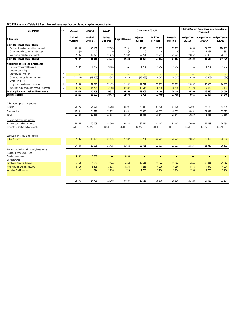### **WC048 Knysna - Table A8 Cash backed reserves/accumulated surplus reconciliation**

| <b>Description</b>                                                                                               | Ref            | 2011/12                      | 2012/13                   | 2013/14                    |                            | Current Year 2014/15             |                              |                           | 2015/16 Medium Term Revenue & Expenditure<br><b>Framework</b> |                             |                                          |  |
|------------------------------------------------------------------------------------------------------------------|----------------|------------------------------|---------------------------|----------------------------|----------------------------|----------------------------------|------------------------------|---------------------------|---------------------------------------------------------------|-----------------------------|------------------------------------------|--|
| <b>R</b> thousand                                                                                                |                | <b>Audited</b><br>Outcome    | <b>Audited</b><br>Outcome | <b>Audited</b><br>Outcome  | <b>Original Budget</b>     | <b>Adjusted</b><br><b>Budget</b> | <b>Full Year</b><br>Forecast | Pre-audit<br>outcome      | <b>Budget Year</b><br>2015/16                                 | 2016/17                     | Budget Year +1 Budget Year +2<br>2017/18 |  |
| Cash and investments available                                                                                   |                |                              |                           |                            |                            |                                  |                              |                           |                                                               |                             |                                          |  |
| Cash/cash equivalents at the year end                                                                            | $\mathbf{1}$   | 55 503                       | 46 161                    | 17 303                     | 27 551                     | 13 973                           | 15 132                       | 15 132                    | 14 638                                                        | 54 753                      | 116 737                                  |  |
| Other current investments > 90 days                                                                              |                | (0)                          | $\mathbf 0$               | $\Omega$                   | (0)                        | $\mathbf{0}$                     | (0)                          | (0)                       | 1 3 6 1                                                       | 1 3 6 1                     | 1 3 6 1                                  |  |
| Non current assets - Investments                                                                                 | $\mathbf{1}$   | 17 385                       | 19 0 25                   | 21 4 35                    | 21 982                     | 22 7 21                          | 22 7 21                      | 22 7 21                   | 23 857                                                        | 25 050                      | 26 302                                   |  |
| Cash and investments available:                                                                                  |                | 72887                        | 65 186                    | 38 738                     | 49 532                     | 36 694                           | 37852                        | 37852                     | 39 855                                                        | 81 164                      | 144 400                                  |  |
| Application of cash and investments                                                                              |                |                              |                           |                            |                            |                                  |                              |                           |                                                               |                             |                                          |  |
| Unspent conditional transfers                                                                                    |                | 2 1 3 7                      | 1 2 6 2                   | 9 9 6 6                    | $\overline{\phantom{a}}$   | 1754                             | 1754                         | 1754                      | 1754                                                          | 1754                        | 1754                                     |  |
| Unspent borrowing                                                                                                |                | -                            | $\overline{a}$            | $\overline{\phantom{a}}$   | $\overline{\phantom{a}}$   | $\overline{\phantom{0}}$         | $\overline{\phantom{0}}$     |                           | -                                                             | $\overline{\phantom{a}}$    | $\blacksquare$                           |  |
| Statutory requirements                                                                                           | $\overline{2}$ | ۳                            | ۳                         | ۳                          |                            | $\equiv$                         | $\sim$                       | $\equiv$                  | -                                                             | ÷,                          | $\equiv$                                 |  |
| Other working capital requirements                                                                               | $\overline{3}$ | (11525)                      | (19853)                   | (23 387)                   | (23 110)                   | (13088)                          | (18547)                      | (18547)                   | (10550)                                                       | (5558)                      | (1680)                                   |  |
| Other provisions                                                                                                 |                |                              |                           |                            |                            |                                  |                              |                           |                                                               |                             |                                          |  |
| Long term investments committed                                                                                  | $\overline{4}$ | 17 385                       | 19 0 25                   | 21 4 35                    | 21 982                     | 22 7 21                          | 22 7 21                      | 22 7 21                   | 23 857                                                        | 25 050                      | 26 302                                   |  |
| Reserves to be backed by cash/investments                                                                        | 5              | 14 676                       | 14 725                    | 12 308                     | 37 687                     | 18516                            | 18516                        | 18516                     | 21 7 28                                                       | 27 450                      | 33 184                                   |  |
| <b>Total Application of cash and investments:</b>                                                                |                | 22 673                       | 15 15 9                   | 20 321                     | 36 558                     | 29 903                           | 24 444                       | 24 4 44                   | 36 789                                                        | 48 6 9 6                    | 59 560                                   |  |
| Surplus(shortfall)                                                                                               |                | 50 215                       | 50 027                    | 18 417                     | 12 974                     | 6791                             | 13 409                       | 13 409                    | 3 0 6 6                                                       | 32 467                      | 84 840                                   |  |
| Other working capital requirements<br><b>Debtors</b><br>Creditors due<br>Total<br>Debtors collection assumptions |                | 58 7 26<br>47 201<br>11 5 25 | 74 571<br>54 718<br>19853 | 75 208<br>51 821<br>23 387 | 84 591<br>61 481<br>23 110 | 68 018<br>54 930<br>13 0 88      | 67 620<br>49 073<br>18 547   | 67 620<br>49 073<br>18547 | 66 001<br>55 451<br>10 550                                    | 65 152<br>59 594<br>5 5 5 8 | 64 695<br>63 015<br>1680                 |  |
| Balance outstanding - debtors                                                                                    |                | 68 666                       | 79 008                    | 84 000                     | 92 184                     | 82 514                           | 81 447                       | 81 447                    | 79 000                                                        | 77553                       | 76 758                                   |  |
| Estimate of debtors collection rate                                                                              |                | 85.5%                        | 94.4%                     | 89.5%                      | 91.8%                      | 82.4%                            | 83.0%                        | 83.0%                     | 83.5%                                                         | 84.0%                       | 84.3%                                    |  |
| Long term investments committed                                                                                  |                |                              |                           |                            |                            |                                  |                              |                           |                                                               |                             |                                          |  |
| <b>DBSA Security</b>                                                                                             |                | 17 385                       | 19 0 25                   | 21 4 35                    | 21 982                     | 22 7 21                          | 22 7 21                      | 22 7 21                   | 23 857                                                        | 25 050                      | 26 30 2                                  |  |
|                                                                                                                  |                | 17 385                       | 19 0 25                   | 21 4 35                    | 21 982                     | 22 721                           | 22 721                       | 22 721                    | 23 857                                                        | 25 050                      | 26 302                                   |  |
| Reserves to be backed by cash/investments                                                                        |                |                              |                           |                            |                            |                                  |                              |                           |                                                               |                             |                                          |  |
| Housing Development Fund                                                                                         |                | $\equiv$                     | $\qquad \qquad$           |                            |                            |                                  |                              |                           |                                                               |                             |                                          |  |
| Capital replacement                                                                                              |                | 4 6 9 2                      | 3639                      | $\equiv$                   | 15 0 39                    |                                  | $\overline{\phantom{a}}$     | $\overline{\phantom{0}}$  | ۳                                                             | ۳                           |                                          |  |
| Self-insurance                                                                                                   |                | $\sim$                       | $\sim$                    | $\sim$                     | $\sim$                     | $\sim$                           | $\sim$                       | $\equiv$                  | $\equiv$                                                      | $\equiv$                    |                                          |  |
| <b>Employee Benefits Reserve</b>                                                                                 |                | 6 1 5 3                      | 6 6 6 9                   | 7544                       | 16 669                     | 12 544                           | 12 544                       | 12544                     | 15 044                                                        | 20 044                      | 25 044                                   |  |
| Non-current provisions reserve                                                                                   |                | 3 4 1 9                      | 3593                      | 3528                       | 4 2 5 4                    | 4 2 3 6                          | 4 2 3 6                      | 4 2 3 6                   | 4 4 4 8                                                       | 4670                        | 4 9 0 4                                  |  |
| <b>Valuation Roll Reserve</b>                                                                                    |                | 412                          | 824                       | 1 2 3 6                    | 1724                       | 1736                             | 1736                         | 1736                      | 2 2 3 6                                                       | 2 7 3 6                     | 3 2 3 6                                  |  |
|                                                                                                                  |                | 14 676                       | 14 725                    | 12 308                     | 37687                      | 18 516                           | 18 516                       | 18516                     | 21 7 28                                                       | 27450                       | 33 184                                   |  |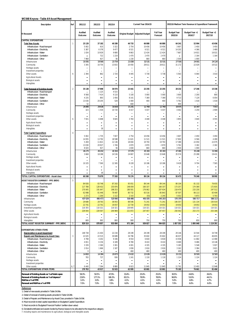#### **WC048 Knysna - Table A9 Asset Management**

| <b>Description</b>                                         | Ref            | 2011/12                       | 2012/13                          | 2013/14                                    |                                  | Current Year 2014/15                   |                                     | 2015/16 Medium Term Revenue & Expenditure Framework |                                                      |                                                |  |
|------------------------------------------------------------|----------------|-------------------------------|----------------------------------|--------------------------------------------|----------------------------------|----------------------------------------|-------------------------------------|-----------------------------------------------------|------------------------------------------------------|------------------------------------------------|--|
| <b>R</b> thousand                                          |                | <b>Audited</b><br>Outcome     | <b>Audited</b><br><b>Outcome</b> | Audited<br>Outcome                         |                                  | <b>Original Budget Adjusted Budget</b> | <b>Full Year</b><br><b>Forecast</b> | <b>Budget Year</b><br>2015/16                       | Budget Year +1<br>2016/17                            | Budget Year +2<br>2017/18                      |  |
| <b>CAPITAL EXPENDITURE</b>                                 |                |                               |                                  |                                            |                                  |                                        |                                     |                                                     |                                                      |                                                |  |
| <b>Total New Assets</b><br>Infrastructure - Road transport | 1              | 25 129<br>5 0 0 2             | 37 182<br>610                    | 40 289<br>3 3 2 2                          | 46733<br>2 7 5 4                 | 66880<br>10456                         | 66880<br>10456                      | 64 241<br>3 6 0 7                                   | 52 994<br>2 4 5 0                                    | 43 656<br>3 4 5 0                              |  |
| Infrastructure - Electricity                               |                | 5 3 8 7                       | 6 3 7 8                          | 9 4 7 7                                    | 6521                             | 6 5 21                                 | 6521                                | 14 202                                              | 4 3 6 6                                              | 3 4 8 9                                        |  |
| Infrastructure - Water                                     |                | 1 0 3 4                       | 10929                            | 9680                                       | 9863                             | 12 4 24                                | 12 4 24                             | 7667                                                | 14 9 21                                              | 16 0 21                                        |  |
| Infrastructure - Sanitation                                |                |                               | 722                              | 1 2 1 9                                    | 1 4 7 0                          | 2 4 7 0                                | 2 4 7 0                             |                                                     | 2 1 6 4                                              | 1 1 6 4                                        |  |
| Infrastructure - Other                                     |                | 7968                          | 927                              | 56                                         | 1 2 3 0                          | 660                                    | 660                                 | 2 0 3 0                                             | 1 0 0 0                                              |                                                |  |
| Infrastructure                                             |                | 19391                         | 19566                            | 23754                                      | 21838                            | 32531                                  | 32531                               | 27506                                               | 24 901                                               | 24 124                                         |  |
| Community                                                  |                | 3 3 4 5                       | 16754                            | 13815                                      | 20 450                           | 28 6 11                                | 28 611                              | 31 1 72                                             | 22029                                                | 16522                                          |  |
| Heritage assets                                            |                | -                             |                                  | $\overline{\phantom{0}}$                   | $\blacksquare$                   |                                        | $\blacksquare$                      | $\blacksquare$                                      | $\overline{\phantom{a}}$                             |                                                |  |
| Investment properties                                      |                | $\blacksquare$                | $\blacksquare$                   | $\blacksquare$                             | $\blacksquare$                   | $\overline{\phantom{0}}$               | $\blacksquare$                      | $\overline{\phantom{a}}$                            | $\blacksquare$                                       | $\blacksquare$                                 |  |
| Other assets                                               | 6              | 2 3 9 4                       | 862                              | 2720                                       | 4 4 4 5                          | 5 7 3 8                                | 5738                                | 5 5 6 3                                             | 6 0 6 4                                              | 3 0 1 0                                        |  |
| <b>Agricultural Assets</b><br><b>Biological assets</b>     |                | -<br>$\overline{\phantom{a}}$ | -<br>$\overline{\phantom{a}}$    | -<br>$\overline{\phantom{0}}$              | -<br>$\blacksquare$              | -                                      | -<br>$\overline{\phantom{0}}$       | ٠<br>$\blacksquare$                                 | $\overline{\phantom{a}}$                             | $\blacksquare$<br>$\qquad \qquad \blacksquare$ |  |
| Intangibles                                                |                | $\blacksquare$                | $\blacksquare$                   | $\blacksquare$                             | -                                | $\blacksquare$                         | $\blacksquare$                      |                                                     | $\blacksquare$                                       | $\blacksquare$                                 |  |
|                                                            |                |                               |                                  |                                            |                                  |                                        |                                     |                                                     |                                                      |                                                |  |
| <b>Total Renewal of Existing Assets</b>                    | $\overline{2}$ | 35 138                        | 37898                            | 36 974                                     | 23 441                           | 22 255                                 | 22 255                              | 28 2 32                                             | 17 24 6                                              | 15 3 36                                        |  |
| Infrastructure - Road transport                            |                | $\overline{a}$                | 1 1 2 5                          | 4515                                       |                                  |                                        |                                     |                                                     |                                                      |                                                |  |
| Infrastructure - Electricity                               |                | 9568                          | 7414                             | 9 1 1 0                                    | 5 100                            | 5 0 0 0                                | 5 0 0 0                             | 3 600                                               | 2 2 0 0                                              | 800                                            |  |
| Infrastructure - Water                                     |                | 4 2 3 5                       | 893                              | 2 4 5 6                                    | 8 1 4 1                          | 7 3 6 9                                | 7369                                | 9713                                                | 7 1 2 9                                              | 6 0 5 4                                        |  |
| Infrastructure - Sanitation<br>Infrastructure - Other      |                | 13 0 30<br>52                 | 20 20 5<br>$\overline{a}$        | 528<br>$\blacksquare$                      | 1 400<br>600                     | 400<br>$\overline{\phantom{0}}$        | 400<br>$\overline{a}$               | 5762<br>900                                         | 1018<br>$\overline{\phantom{0}}$                     | 1018<br>$\overline{\phantom{0}}$               |  |
| Infrastructure                                             |                | 26 885                        | 29636                            | 16 609                                     | 15 241                           | 12769                                  | 12769                               | 19975                                               | 10347                                                | 7872                                           |  |
| Community                                                  |                | 323                           | 1534                             | 10720                                      | 4 4 1 7                          | 5 0 3 7                                | 5 0 3 7                             | 4 4 0 2                                             | 3 2 5 9                                              | 2 9 0 9                                        |  |
| Heritage assets                                            |                | $\overline{a}$                | -                                | -                                          | $\overline{a}$                   | -                                      | $\overline{a}$                      | -                                                   |                                                      |                                                |  |
| Investment properties                                      |                |                               |                                  | ÷                                          |                                  |                                        |                                     |                                                     |                                                      |                                                |  |
| Other assets                                               | 6              | 7931                          | 6698                             | 9645                                       | 3783                             | 4 4 4 8                                | 4 4 4 8                             | 3855                                                | 3 6 4 0                                              | 4 5 5 5                                        |  |
| <b>Agricultural Assets</b>                                 |                |                               |                                  | -                                          | -                                |                                        | -                                   | $\blacksquare$                                      | -                                                    |                                                |  |
| <b>Biological assets</b>                                   |                | -                             |                                  | -                                          |                                  | -                                      | -                                   |                                                     | -                                                    | -                                              |  |
| Intangibles                                                |                | -                             | 30                               | -                                          | -                                | $\blacksquare$                         | $\blacksquare$                      | $\blacksquare$                                      | -                                                    | $\blacksquare$                                 |  |
| <b>Total Capital Expenditure</b>                           | $\overline{4}$ |                               |                                  |                                            |                                  |                                        |                                     |                                                     |                                                      |                                                |  |
| Infrastructure - Road transport                            |                | 5 0 0 2                       | 1735                             | 7837                                       | 2 7 5 4                          | 10456                                  | 10456                               | 3 6 0 7                                             | 2 4 5 0                                              | 3 4 5 0                                        |  |
| Infrastructure - Electricity                               |                | 14 9 55                       | 13792                            | 18588                                      | 11 621                           | 11521                                  | 11521                               | 17802                                               | 6566                                                 | 4 2 8 9                                        |  |
| Infrastructure - Water                                     |                | 5 2 6 9                       | 11821                            | 12 13 6                                    | 18 004                           | 19793                                  | 19793                               | 17 380                                              | 22 050                                               | 22075                                          |  |
| Infrastructure - Sanitation                                |                | 13 0 30                       | 20927                            | 1746                                       | 2870                             | 2870                                   | 2870                                | 5762                                                | 3 1 8 2                                              | 2 1 8 2                                        |  |
| Infrastructure - Other                                     |                | 8 0 2 0                       | 927                              | 56                                         | 1830                             | 660                                    | 660                                 | 2 9 3 0                                             | 1 0 0 0                                              | $\overline{a}$                                 |  |
| Infrastructure                                             |                | 46 275                        | 49202                            | 40 363                                     | 37079                            | 45 300                                 | 45 300                              | 47481                                               | 35 248                                               | 31996                                          |  |
| Community                                                  |                | 3 6 6 8                       | 18288                            | 24 5 36                                    | 24 8 67                          | 33 648                                 | 33 648                              | 35 5 74                                             | 25 288                                               | 19 431                                         |  |
| Heritage assets<br>Investment properties                   |                | -<br>$\blacksquare$           | -<br>$\blacksquare$              | $\overline{\phantom{a}}$<br>$\blacksquare$ | $\blacksquare$<br>$\blacksquare$ | -<br>$\blacksquare$                    | $\blacksquare$<br>$\blacksquare$    | $\blacksquare$<br>$\blacksquare$                    | $\overline{\phantom{a}}$<br>$\blacksquare$           | $\blacksquare$                                 |  |
| Other assets                                               |                | 10 3 25                       | 7560                             | 12 3 6 5                                   | 8 2 2 8                          | 10 18 6                                | 10 18 6                             | 9 4 1 8                                             | 9 7 0 4                                              | 7565                                           |  |
| <b>Agricultural Assets</b>                                 |                |                               |                                  | -                                          |                                  | -                                      | $\blacksquare$                      |                                                     |                                                      | $\blacksquare$                                 |  |
| <b>Biological assets</b>                                   |                | -                             | -                                | -                                          | $\overline{a}$                   | -                                      | $\overline{\phantom{0}}$            | -                                                   | $\overline{\phantom{0}}$                             | $\overline{a}$                                 |  |
| Intangibles                                                |                | $\blacksquare$                | 30                               | $\blacksquare$                             | -                                | $\blacksquare$                         | $\blacksquare$                      | $\blacksquare$                                      | $\blacksquare$                                       | $\blacksquare$                                 |  |
| TOTAL CAPITAL EXPENDITURE - Asset class                    | $\overline{2}$ | 60 268                        | 75079                            | 77 263                                     | 70 174                           | 89 134                                 | 89 134                              | 92 473                                              | 70 240                                               | 58 992                                         |  |
| <b>ASSET REGISTER SUMMARY - PPE (WDV)</b>                  | 5              |                               |                                  |                                            |                                  |                                        |                                     |                                                     |                                                      |                                                |  |
| Infrastructure - Road transport                            |                | 84 9 26                       | 83748                            | 87 263                                     | 95 051                           | 89 144                                 | 89 144                              | 86 104                                              | 81 1 32                                              | 76 655                                         |  |
| Infrastructure - Electricity                               |                | 117 788                       | 128 432                          | 155 876                                    | 148 059                          | 160 337                                | 160 337                             | 173 257                                             | 174 369                                              | 172 835                                        |  |
| Infrastructure - Water                                     |                | 170 045                       | 191 647                          | 198 253                                    | 180 501                          | 176 062                                | 207 634                             | 218 479                                             | 233 230                                              | 247 512                                        |  |
| Infrastructure - Sanitation                                |                | 62 998                        | 81446                            | 78 487                                     | 80732                            | 65516                                  | 85 843                              | 87507                                               | 86 113                                               | 83 409                                         |  |
| Infrastructure - Other                                     |                | 1 2 7 3                       | 1 2 0 0                          | 1 1 1 2                                    | 2 1 4 3                          | (55)                                   | 2 2 4 5                             | 5 0 3 2                                             | 5873                                                 | 5 703                                          |  |
| Infrastructure                                             |                | 437 029                       | 486 473                          | 520 990                                    | 506 486                          | 491 005                                | 545 203                             | 570 379                                             | 580 717                                              | 586 113                                        |  |
| Community                                                  |                | 29 680                        | 28763                            | 36 953                                     | 88546                            | 71 241                                 | 71 241                              | 106 357                                             | 131 134                                              | 150 019                                        |  |
| Heritage assets                                            |                | 22 741                        | 22741                            | 19057                                      | 22 7 34                          | 19053                                  | 19053                               | 19053                                               | 19053                                                | 19053                                          |  |
| Investment properties                                      |                | 110 355                       | 110 321                          | 110 321                                    | 130 645                          | 110 321                                | 110 321                             | 110 321                                             | 110 321                                              | 110 321                                        |  |
| Other assets                                               |                | 229 044                       | 229 567                          | 244 969                                    | 221 872                          | 247 457                                | 247 457                             | 250 542                                             | 253 173                                              | 253 186                                        |  |
| <b>Agricultural Assets</b><br><b>Biological assets</b>     |                | $\overline{a}$                | -                                | -<br>$\overline{\phantom{0}}$              | $\overline{\phantom{0}}$<br>Ĭ.   | -<br>$\blacksquare$                    | $\overline{a}$<br>Ĭ.                | $\blacksquare$                                      | $\overline{\phantom{0}}$<br>$\overline{\phantom{0}}$ |                                                |  |
| Intangibles                                                |                | 669                           | 992                              | 800                                        | 900                              | 750                                    | 750                                 | 700                                                 | 650                                                  | 600                                            |  |
| TOTAL ASSET REGISTER SUMMARY - PPE (WDV)                   | 5              | 829 519                       | 878 857                          | 933 090                                    | 971 184                          | 939 827                                | 994 025                             | 1 057 352                                           | 1095048                                              | 1119291                                        |  |
|                                                            |                |                               |                                  |                                            |                                  |                                        |                                     |                                                     |                                                      |                                                |  |
| <b>EXPENDITURE OTHER ITEMS</b>                             |                |                               |                                  |                                            |                                  |                                        |                                     |                                                     |                                                      |                                                |  |
| Depreciation & asset impairment                            |                | 148 738                       | 21 4 03                          | 22 2 34                                    | 28 199                           | 28 199                                 | 28 199                              | 29 14 6                                             | 32544                                                | 34749                                          |  |
| <b>Repairs and Maintenance by Asset Class</b>              | 3              | 22 0 25                       | 22515                            | 30 689                                     | 34 796                           | 35 602                                 | 35 602                              | 46 037                                              | 44 117                                               | 46 655                                         |  |
| Infrastructure - Road transport                            |                | 4798                          | 4 2 0 2                          | 9 1 9 6                                    | 8554                             | 6818                                   | 6818                                | 15936                                               | 11682                                                | 12 480                                         |  |
| Infrastructure - Electricity                               |                | 4 6 5 1                       | 6 1 5 6                          | 6 189                                      | 8780                             | 8 4 1 0                                | 8410                                | 8 4 6 9                                             | 9 4 8 6                                              | 10146                                          |  |
| Infrastructure - Water                                     |                | 3 3 3 9                       | 2 3 6 0                          | 3 3 0 1                                    | 4 0 0 1                          | 4 3 3 5                                | 4 3 3 5                             | 5 1 8 5                                             | 5 5 4 8                                              | 5 9 3 7                                        |  |
| Infrastructure - Sanitation                                |                | 2014                          | 1666                             | 2 1 8 7                                    | 1836                             | 2616                                   | 2616                                | 3 1 6 2                                             | 3 3 8 4                                              | 3 6 21                                         |  |
| Infrastructure - Other<br>Infrastructure                   |                | $\mathbf 0$<br>14 802         | 14384                            | 20873                                      | 460<br>23632                     | 460<br>22639                           | 460<br>22639                        | 400<br>33 153                                       | 400<br>30 500                                        | 400<br>32 583                                  |  |
| Community                                                  |                | 783                           | 737                              | 936                                        | 1 2 4 1                          | 1 1 1 8                                | 1 1 1 8                             | 1 1 2 4                                             | 1 1 2 4                                              | 1 1 2 4                                        |  |
| Heritage assets                                            |                | -                             | -                                | -                                          |                                  |                                        |                                     |                                                     |                                                      |                                                |  |
| Investment properties                                      |                |                               |                                  |                                            |                                  |                                        |                                     |                                                     |                                                      |                                                |  |
| Other assets                                               | 6, 7           | 6 4 4 0                       | 7394                             | 8880                                       | 9923                             | 11845                                  | 11845                               | 11761                                               | 12 4 9 3                                             | 12948                                          |  |
| <b>TOTAL EXPENDITURE OTHER ITEMS</b>                       |                | 170 763                       | 43917                            | 52923                                      | 62 995                           | 63801                                  | 63801                               | 75 182                                              | 76 661                                               | 81 404                                         |  |
| Renewal of Existing Assets as % of total capex             |                | 58.3%                         | 50.5%                            | 47.9%                                      | 33.4%                            | 25.0%                                  | 25.0%                               | 30.5%                                               | 24.6%                                                | 26.0%                                          |  |
| Renewal of Existing Assets as % of deprecn"                |                | 23.6%                         | 177.1%                           | 166.3%                                     | 83.1%                            | 78.9%                                  | 78.9%                               | 96.9%                                               | 53.0%                                                | 44.1%                                          |  |
| R&M as a % of PPE                                          |                | 3.2%                          | 3.0%                             | 3.8%                                       | 4.1%                             | 4.1%                                   | 4.1%                                | 5.0%                                                | 4.6%                                                 | 4.7%                                           |  |
| Renewal and R&M as a % of PPE                              |                | 7.0%                          | 7.0%                             | 7.0%                                       | 6.0%                             | 6.0%                                   | 6.0%                                | 7.0%                                                | 6.0%                                                 | 6.0%                                           |  |

*References*

*1. Detail of new assets provided in Table SA34a*

*2. Detail of renewal of existing assets provided in Table SA34b*

*3. Detail of Repairs and Maintenance by Asset Class provided in Table SA34c*

*4. Must reconcile to total capital expenditure on Budgeted Capital Expenditure*

*5. Must reconcile to 'Budgeted Financial Position' (written down value)*

*6. Donated/contributed and assets funded by finance leases to be allocated to the respective category*

7. Including repairs and maintenance to agricultural, biological and intangible assets